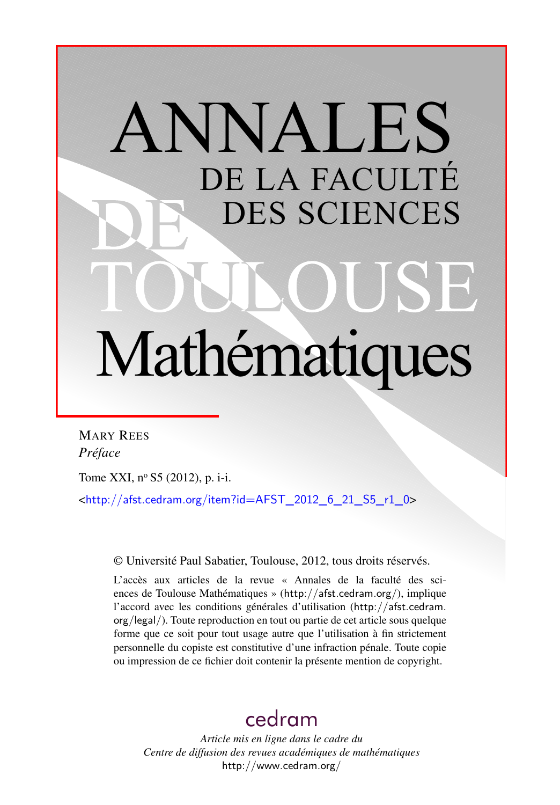## ANNALES DE LA FACULTÉ DES SCIENCES Mathématiques

MARY REES *Préface*

Tome XXI, nº S5 (2012), p. i-i.

<[http://afst.cedram.org/item?id=AFST\\_2012\\_6\\_21\\_S5\\_r1\\_0](http://afst.cedram.org/item?id=AFST_2012_6_21_S5_r1_0)>

© Université Paul Sabatier, Toulouse, 2012, tous droits réservés.

L'accès aux articles de la revue « Annales de la faculté des sciences de Toulouse Mathématiques » (<http://afst.cedram.org/>), implique l'accord avec les conditions générales d'utilisation ([http://afst.cedram.](http://afst.cedram.org/legal/) [org/legal/](http://afst.cedram.org/legal/)). Toute reproduction en tout ou partie de cet article sous quelque forme que ce soit pour tout usage autre que l'utilisation à fin strictement personnelle du copiste est constitutive d'une infraction pénale. Toute copie ou impression de ce fichier doit contenir la présente mention de copyright.

## [cedram](http://www.cedram.org/)

*Article mis en ligne dans le cadre du Centre de diffusion des revues académiques de mathématiques* <http://www.cedram.org/>